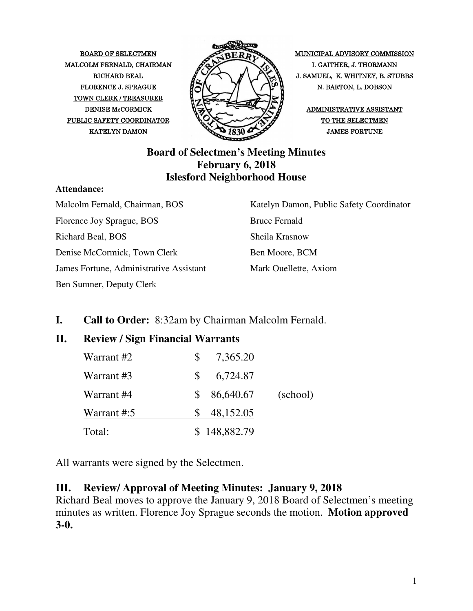MALCOLM FERNALD, CHAIRMAN  $\mathscr{P}\rightarrow\mathscr{P}$  I. GAITHER, J. THORMANN TOWN CLERK / TREASURER PUBLIC SAFETY COORDINATOR  $\bigotimes_{\mathcal{A}} \bigotimes_{\mathcal{A}} \bigotimes_{\mathcal{A}} \bigotimes_{\mathcal{A}} \bigotimes_{\mathcal{A}} \bigotimes_{\mathcal{A}} \bigotimes_{\mathcal{A}} \bigotimes_{\mathcal{A}} \bigotimes_{\mathcal{A}} \bigotimes_{\mathcal{A}} \bigotimes_{\mathcal{A}} \bigotimes_{\mathcal{A}} \bigotimes_{\mathcal{A}} \bigotimes_{\mathcal{A}} \bigotimes_{\mathcal{A}} \bigotimes_{\mathcal{A}} \bigotimes_{\mathcal{A}} \bigotimes_{\mathcal$ 



BOARD OF SELECTMEN MUNICIPAL ADVISORY COMMISSION RICHARD BEAL  $\mathbb{Z} \times \mathbb{Z}$   $\mathbb{Z} \times \mathbb{Z}$  J. SAMUEL, K. WHITNEY, B. STUBBS FLORENCE J. SPRAGUE  $\mathcal{H}(\mathcal{N})$   $\mathcal{N}(\mathcal{N})$  N. BARTON, L. DOBSON

#### **Board of Selectmen's Meeting Minutes February 6, 2018 Islesford Neighborhood House**

#### **Attendance:**

Malcolm Fernald, Chairman, BOS Florence Joy Sprague, BOS Richard Beal, BOS Denise McCormick, Town Clerk James Fortune, Administrative Assistant Ben Sumner, Deputy Clerk

Katelyn Damon, Public Safety Coordinator Bruce Fernald Sheila Krasnow Ben Moore, BCM Mark Ouellette, Axiom

### **I. Call to Order:** 8:32am by Chairman Malcolm Fernald.

### **II. Review / Sign Financial Warrants**

| Warrant #2  | 7,365.20<br>S.  |          |
|-------------|-----------------|----------|
| Warrant #3  | 6,724.87<br>SS. |          |
| Warrant #4  | 86,640.67<br>S. | (school) |
| Warrant #:5 | 48,152.05       |          |
| Total:      | \$148,882.79    |          |

All warrants were signed by the Selectmen.

### **III. Review/ Approval of Meeting Minutes: January 9, 2018**

Richard Beal moves to approve the January 9, 2018 Board of Selectmen's meeting minutes as written. Florence Joy Sprague seconds the motion. **Motion approved 3-0.**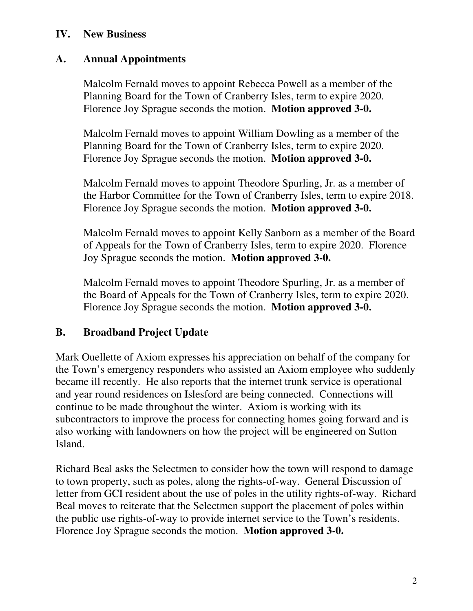#### **IV. New Business**

### **A. Annual Appointments**

Malcolm Fernald moves to appoint Rebecca Powell as a member of the Planning Board for the Town of Cranberry Isles, term to expire 2020. Florence Joy Sprague seconds the motion. **Motion approved 3-0.**

Malcolm Fernald moves to appoint William Dowling as a member of the Planning Board for the Town of Cranberry Isles, term to expire 2020. Florence Joy Sprague seconds the motion. **Motion approved 3-0.** 

Malcolm Fernald moves to appoint Theodore Spurling, Jr. as a member of the Harbor Committee for the Town of Cranberry Isles, term to expire 2018. Florence Joy Sprague seconds the motion. **Motion approved 3-0.** 

Malcolm Fernald moves to appoint Kelly Sanborn as a member of the Board of Appeals for the Town of Cranberry Isles, term to expire 2020. Florence Joy Sprague seconds the motion. **Motion approved 3-0.** 

Malcolm Fernald moves to appoint Theodore Spurling, Jr. as a member of the Board of Appeals for the Town of Cranberry Isles, term to expire 2020. Florence Joy Sprague seconds the motion. **Motion approved 3-0.** 

### **B. Broadband Project Update**

Mark Ouellette of Axiom expresses his appreciation on behalf of the company for the Town's emergency responders who assisted an Axiom employee who suddenly became ill recently. He also reports that the internet trunk service is operational and year round residences on Islesford are being connected. Connections will continue to be made throughout the winter. Axiom is working with its subcontractors to improve the process for connecting homes going forward and is also working with landowners on how the project will be engineered on Sutton Island.

Richard Beal asks the Selectmen to consider how the town will respond to damage to town property, such as poles, along the rights-of-way. General Discussion of letter from GCI resident about the use of poles in the utility rights-of-way. Richard Beal moves to reiterate that the Selectmen support the placement of poles within the public use rights-of-way to provide internet service to the Town's residents. Florence Joy Sprague seconds the motion. **Motion approved 3-0.**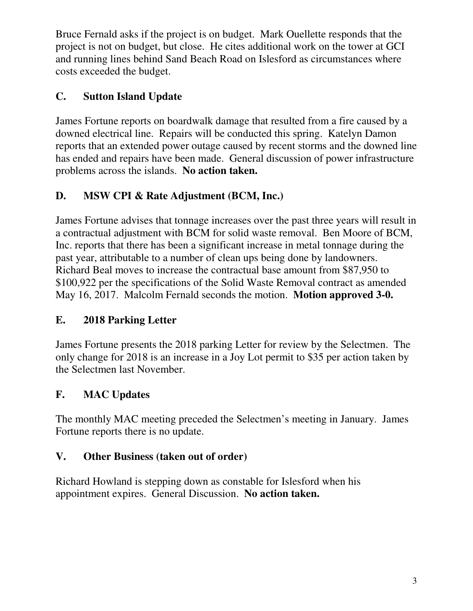Bruce Fernald asks if the project is on budget. Mark Ouellette responds that the project is not on budget, but close. He cites additional work on the tower at GCI and running lines behind Sand Beach Road on Islesford as circumstances where costs exceeded the budget.

# **C. Sutton Island Update**

James Fortune reports on boardwalk damage that resulted from a fire caused by a downed electrical line. Repairs will be conducted this spring. Katelyn Damon reports that an extended power outage caused by recent storms and the downed line has ended and repairs have been made. General discussion of power infrastructure problems across the islands. **No action taken.**

# **D. MSW CPI & Rate Adjustment (BCM, Inc.)**

James Fortune advises that tonnage increases over the past three years will result in a contractual adjustment with BCM for solid waste removal. Ben Moore of BCM, Inc. reports that there has been a significant increase in metal tonnage during the past year, attributable to a number of clean ups being done by landowners. Richard Beal moves to increase the contractual base amount from \$87,950 to \$100,922 per the specifications of the Solid Waste Removal contract as amended May 16, 2017. Malcolm Fernald seconds the motion. **Motion approved 3-0.** 

# **E. 2018 Parking Letter**

James Fortune presents the 2018 parking Letter for review by the Selectmen. The only change for 2018 is an increase in a Joy Lot permit to \$35 per action taken by the Selectmen last November.

# **F. MAC Updates**

The monthly MAC meeting preceded the Selectmen's meeting in January. James Fortune reports there is no update.

# **V. Other Business (taken out of order)**

Richard Howland is stepping down as constable for Islesford when his appointment expires. General Discussion. **No action taken.**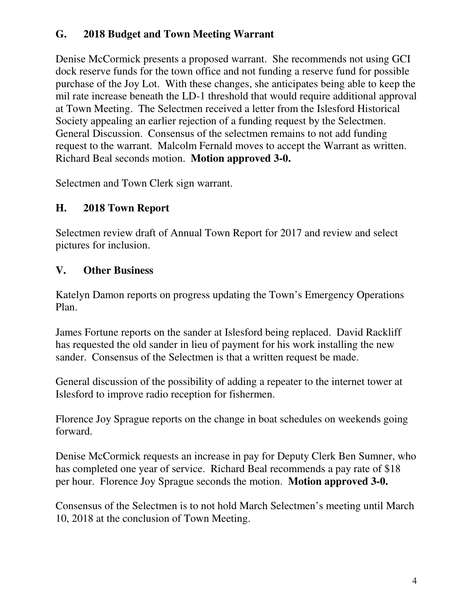### **G. 2018 Budget and Town Meeting Warrant**

Denise McCormick presents a proposed warrant. She recommends not using GCI dock reserve funds for the town office and not funding a reserve fund for possible purchase of the Joy Lot. With these changes, she anticipates being able to keep the mil rate increase beneath the LD-1 threshold that would require additional approval at Town Meeting. The Selectmen received a letter from the Islesford Historical Society appealing an earlier rejection of a funding request by the Selectmen. General Discussion. Consensus of the selectmen remains to not add funding request to the warrant. Malcolm Fernald moves to accept the Warrant as written. Richard Beal seconds motion. **Motion approved 3-0.**

Selectmen and Town Clerk sign warrant.

### **H. 2018 Town Report**

Selectmen review draft of Annual Town Report for 2017 and review and select pictures for inclusion.

### **V. Other Business**

Katelyn Damon reports on progress updating the Town's Emergency Operations Plan.

James Fortune reports on the sander at Islesford being replaced. David Rackliff has requested the old sander in lieu of payment for his work installing the new sander. Consensus of the Selectmen is that a written request be made.

General discussion of the possibility of adding a repeater to the internet tower at Islesford to improve radio reception for fishermen.

Florence Joy Sprague reports on the change in boat schedules on weekends going forward.

Denise McCormick requests an increase in pay for Deputy Clerk Ben Sumner, who has completed one year of service. Richard Beal recommends a pay rate of \$18 per hour. Florence Joy Sprague seconds the motion. **Motion approved 3-0.**

Consensus of the Selectmen is to not hold March Selectmen's meeting until March 10, 2018 at the conclusion of Town Meeting.